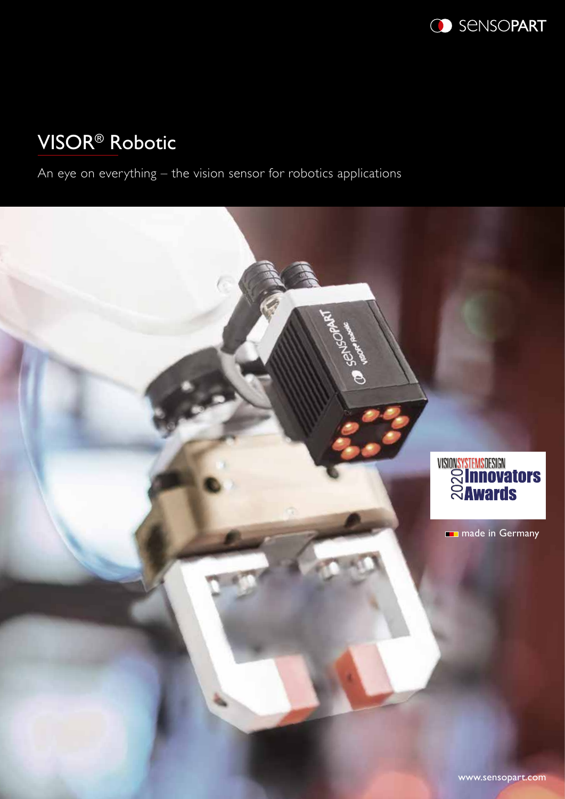

# VISOR® Robotic

An eye on everything – the vision sensor for robotics applications

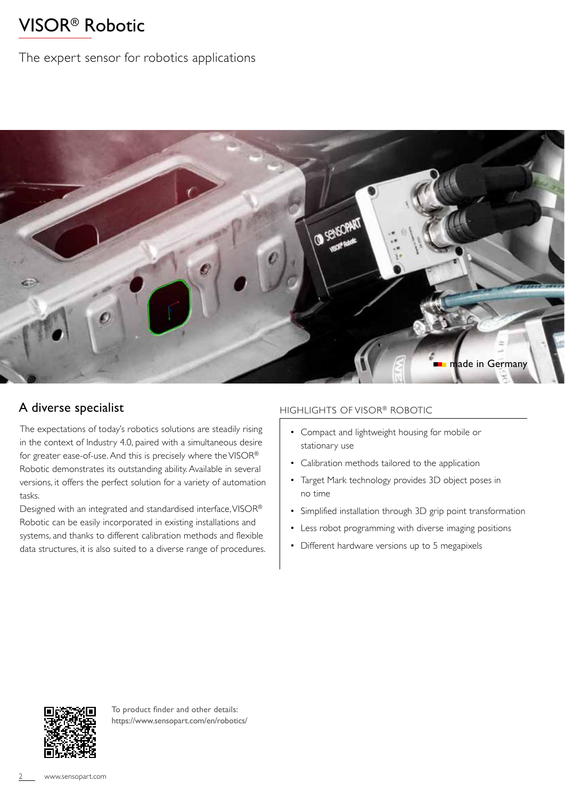## VISOR® Robotic

### The expert sensor for robotics applications



### A diverse specialist

The expectations of today's robotics solutions are steadily rising in the context of Industry 4.0, paired with a simultaneous desire for greater ease-of-use. And this is precisely where the VISOR® Robotic demonstrates its outstanding ability. Available in several versions, it offers the perfect solution for a variety of automation tasks.

Designed with an integrated and standardised interface, VISOR® Robotic can be easily incorporated in existing installations and systems, and thanks to different calibration methods and flexible data structures, it is also suited to a diverse range of procedures.

#### HIGHLIGHTS OF VISOR® ROBOTIC

- Compact and lightweight housing for mobile or stationary use
- Calibration methods tailored to the application
- Target Mark technology provides 3D object poses in no time
- Simplified installation through 3D grip point transformation
- Less robot programming with diverse imaging positions
- Different hardware versions up to 5 megapixels



To product finder and other details: https://www.sensopart.com/en/robotics/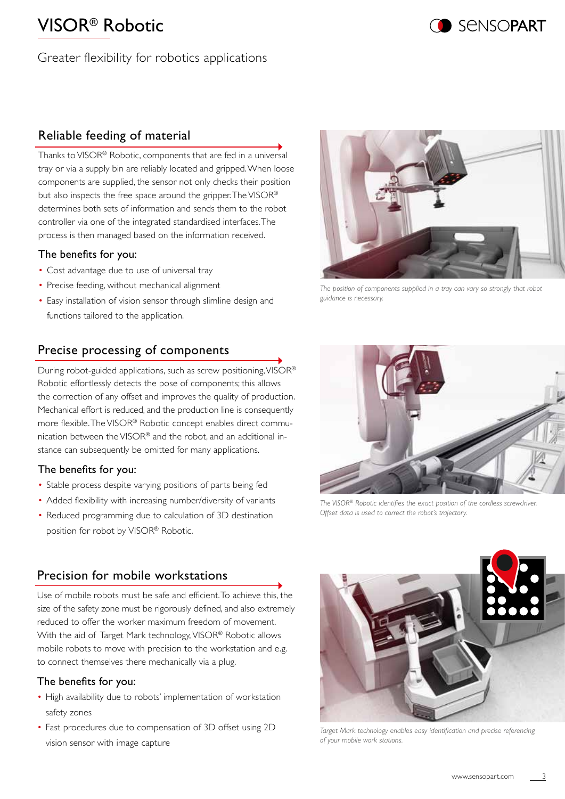## VISOR® Robotic

Greater flexibility for robotics applications

## Reliable feeding of material

Thanks to VISOR® Robotic, components that are fed in a universal tray or via a supply bin are reliably located and gripped. When loose components are supplied, the sensor not only checks their position but also inspects the free space around the gripper. The VISOR® determines both sets of information and sends them to the robot controller via one of the integrated standardised interfaces. The process is then managed based on the information received.

#### The benefits for you:

- Cost advantage due to use of universal tray
- Precise feeding, without mechanical alignment
- Easy installation of vision sensor through slimline design and functions tailored to the application.

## Precise processing of components

During robot-guided applications, such as screw positioning, VISOR® Robotic effortlessly detects the pose of components; this allows the correction of any offset and improves the quality of production. Mechanical effort is reduced, and the production line is consequently more flexible. The VISOR® Robotic concept enables direct communication between the VISOR® and the robot, and an additional instance can subsequently be omitted for many applications.

#### The benefits for you:

- Stable process despite varying positions of parts being fed
- Added flexibility with increasing number/diversity of variants
- Reduced programming due to calculation of 3D destination position for robot by VISOR® Robotic.

## Precision for mobile workstations

Use of mobile robots must be safe and efficient. To achieve this, the size of the safety zone must be rigorously defined, and also extremely reduced to offer the worker maximum freedom of movement. With the aid of Target Mark technology, VISOR® Robotic allows mobile robots to move with precision to the workstation and e.g. to connect themselves there mechanically via a plug.

#### The benefits for you:

- High availability due to robots' implementation of workstation safety zones
- Fast procedures due to compensation of 3D offset using 2D vision sensor with image capture

*The position of components supplied in a tray can vary so strongly that robot guidance is necessary.*

*The VISOR® Robotic identifies the exact position of the cordless screwdriver. Offset data is used to correct the robot's trajectory.*